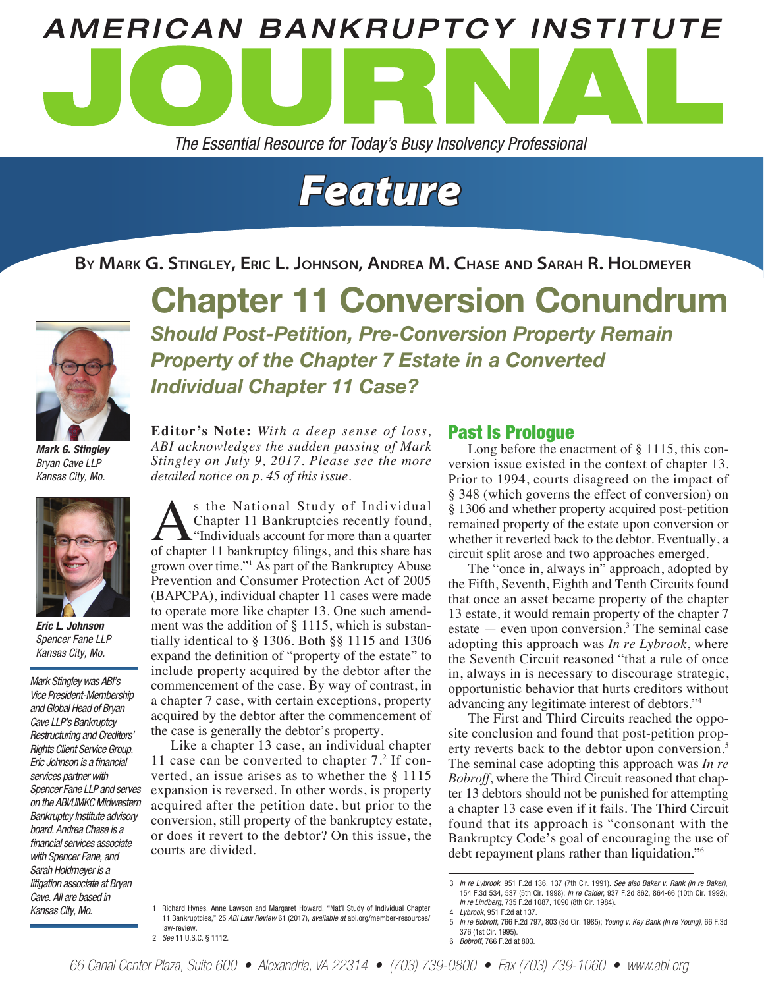

*The Essential Resource for Today's Busy Insolvency Professional*



**By Mark G. Stingley, Eric L. Johnson, Andrea M. Chase and Sarah R. Holdmeyer**



*Mark G. Stingley Bryan Cave LLP Kansas City, Mo.*



*Eric L. Johnson Spencer Fane LLP Kansas City, Mo.*

*Mark Stingley was ABI's Vice President-Membership and Global Head of Bryan Cave LLP's Bankruptcy Restructuring and Creditors' Rights Client Service Group. Eric Johnson is a financial services partner with Spencer Fane LLP and serves on the ABI/UMKC Midwestern Bankruptcy Institute advisory board. Andrea Chase is a financial services associate with Spencer Fane, and Sarah Holdmeyer is a litigation associate at Bryan Cave. All are based in Kansas City, Mo.* 

Chapter 11 Conversion Conundrum *Should Post-Petition, Pre-Conversion Property Remain Property of the Chapter 7 Estate in a Converted Individual Chapter 11 Case?*

**Editor's Note:** *With a deep sense of loss, ABI acknowledges the sudden passing of Mark Stingley on July 9, 2017. Please see the more detailed notice on p. 45 of this issue.*

s the National Study of Individual Chapter 11 Bankruptcies recently found, "Individuals account for more than a quarter of chapter 11 bankruptcy filings, and this share has grown over time."<sup>1</sup> As part of the Bankruptcy Abuse Prevention and Consumer Protection Act of 2005 (BAPCPA), individual chapter 11 cases were made to operate more like chapter 13. One such amendment was the addition of § 1115, which is substantially identical to § 1306. Both §§ 1115 and 1306 expand the definition of "property of the estate" to include property acquired by the debtor after the commencement of the case. By way of contrast, in a chapter 7 case, with certain exceptions, property acquired by the debtor after the commencement of the case is generally the debtor's property.

Like a chapter 13 case, an individual chapter 11 case can be converted to chapter 7.<sup>2</sup> If converted, an issue arises as to whether the § 1115 expansion is reversed. In other words, is property acquired after the petition date, but prior to the conversion, still property of the bankruptcy estate, or does it revert to the debtor? On this issue, the courts are divided.

#### Past Is Prologue

Long before the enactment of § 1115, this conversion issue existed in the context of chapter 13. Prior to 1994, courts disagreed on the impact of § 348 (which governs the effect of conversion) on § 1306 and whether property acquired post-petition remained property of the estate upon conversion or whether it reverted back to the debtor. Eventually, a circuit split arose and two approaches emerged.

The "once in, always in" approach, adopted by the Fifth, Seventh, Eighth and Tenth Circuits found that once an asset became property of the chapter 13 estate, it would remain property of the chapter 7 estate  $-$  even upon conversion.<sup>3</sup> The seminal case adopting this approach was *In re Lybrook*, where the Seventh Circuit reasoned "that a rule of once in, always in is necessary to discourage strategic, opportunistic behavior that hurts creditors without advancing any legitimate interest of debtors."<sup>4</sup>

The First and Third Circuits reached the opposite conclusion and found that post-petition property reverts back to the debtor upon conversion.<sup>5</sup> The seminal case adopting this approach was *In re Bobroff*, where the Third Circuit reasoned that chapter 13 debtors should not be punished for attempting a chapter 13 case even if it fails. The Third Circuit found that its approach is "consonant with the Bankruptcy Code's goal of encouraging the use of debt repayment plans rather than liquidation."6

<sup>1</sup> Richard Hynes, Anne Lawson and Margaret Howard, "Nat'l Study of Individual Chapter 11 Bankruptcies," 25 *ABI Law Review* 61 (2017), *available at* abi.org/member-resources/ law-review. 2 *See* 11 U.S.C. § 1112.

<sup>3</sup> *In re Lybrook*, 951 F.2d 136, 137 (7th Cir. 1991). *See also Baker v. Rank (In re Baker)*, 154 F.3d 534, 537 (5th Cir. 1998); *In re Calder*, 937 F.2d 862, 864-66 (10th Cir. 1992); *In re Lindberg*, 735 F.2d 1087, 1090 (8th Cir. 1984).

<sup>4</sup> *Lybrook*, 951 F.2d at 137.

<sup>5</sup> *In re Bobroff*, 766 F.2d 797, 803 (3d Cir. 1985); *Young v. Key Bank (In re Young)*, 66 F.3d 376 (1st Cir. 1995). 6 *Bobroff*, 766 F.2d at 803.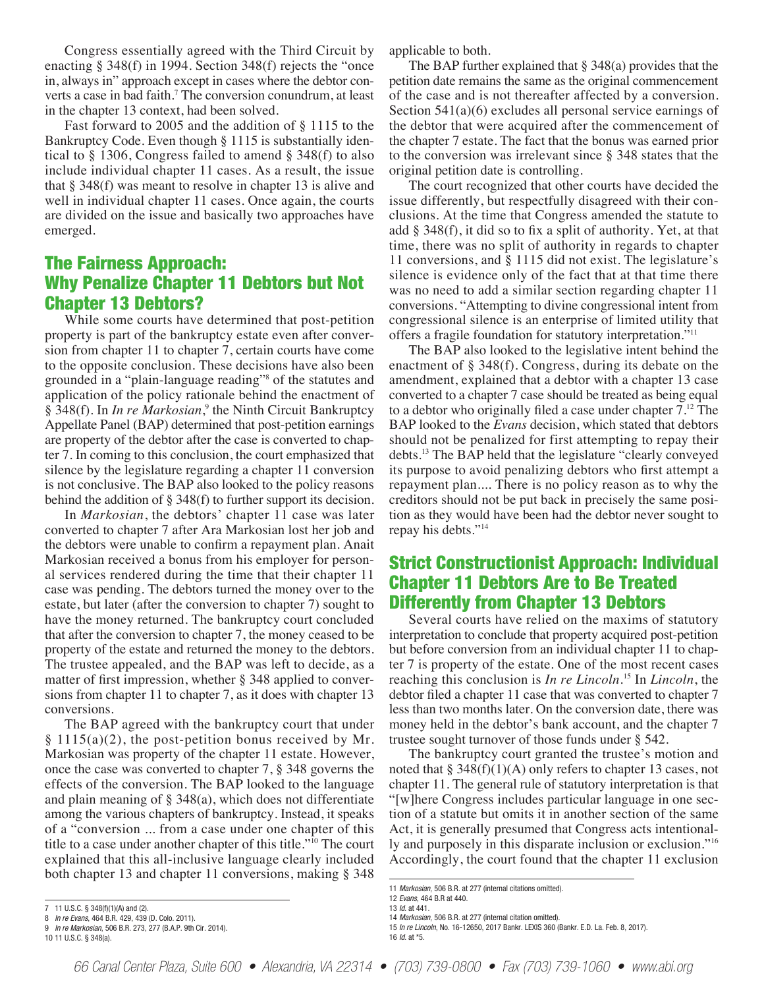Congress essentially agreed with the Third Circuit by enacting § 348(f) in 1994. Section 348(f) rejects the "once in, always in" approach except in cases where the debtor converts a case in bad faith.<sup>7</sup> The conversion conundrum, at least in the chapter 13 context, had been solved.

Fast forward to 2005 and the addition of § 1115 to the Bankruptcy Code. Even though § 1115 is substantially identical to § 1306, Congress failed to amend § 348(f) to also include individual chapter 11 cases. As a result, the issue that § 348(f) was meant to resolve in chapter 13 is alive and well in individual chapter 11 cases. Once again, the courts are divided on the issue and basically two approaches have emerged.

# The Fairness Approach: Why Penalize Chapter 11 Debtors but Not Chapter 13 Debtors?

While some courts have determined that post-petition property is part of the bankruptcy estate even after conversion from chapter 11 to chapter 7, certain courts have come to the opposite conclusion. These decisions have also been grounded in a "plain-language reading"8 of the statutes and application of the policy rationale behind the enactment of § 348(f). In *In re Markosian*,<sup>9</sup> the Ninth Circuit Bankruptcy Appellate Panel (BAP) determined that post-petition earnings are property of the debtor after the case is converted to chapter 7. In coming to this conclusion, the court emphasized that silence by the legislature regarding a chapter 11 conversion is not conclusive. The BAP also looked to the policy reasons behind the addition of § 348(f) to further support its decision.

In *Markosian*, the debtors' chapter 11 case was later converted to chapter 7 after Ara Markosian lost her job and the debtors were unable to confirm a repayment plan. Anait Markosian received a bonus from his employer for personal services rendered during the time that their chapter 11 case was pending. The debtors turned the money over to the estate, but later (after the conversion to chapter 7) sought to have the money returned. The bankruptcy court concluded that after the conversion to chapter 7, the money ceased to be property of the estate and returned the money to the debtors. The trustee appealed, and the BAP was left to decide, as a matter of first impression, whether § 348 applied to conversions from chapter 11 to chapter 7, as it does with chapter 13 conversions.

The BAP agreed with the bankruptcy court that under  $§ 1115(a)(2)$ , the post-petition bonus received by Mr. Markosian was property of the chapter 11 estate. However, once the case was converted to chapter 7, § 348 governs the effects of the conversion. The BAP looked to the language and plain meaning of § 348(a), which does not differentiate among the various chapters of bankruptcy. Instead, it speaks of a "conversion ... from a case under one chapter of this title to a case under another chapter of this title."10 The court explained that this all-inclusive language clearly included both chapter 13 and chapter 11 conversions, making § 348

applicable to both.

The BAP further explained that § 348(a) provides that the petition date remains the same as the original commencement of the case and is not thereafter affected by a conversion. Section 541(a)(6) excludes all personal service earnings of the debtor that were acquired after the commencement of the chapter 7 estate. The fact that the bonus was earned prior to the conversion was irrelevant since § 348 states that the original petition date is controlling.

The court recognized that other courts have decided the issue differently, but respectfully disagreed with their conclusions. At the time that Congress amended the statute to add § 348(f), it did so to fix a split of authority. Yet, at that time, there was no split of authority in regards to chapter 11 conversions, and § 1115 did not exist. The legislature's silence is evidence only of the fact that at that time there was no need to add a similar section regarding chapter 11 conversions. "Attempting to divine congressional intent from congressional silence is an enterprise of limited utility that offers a fragile foundation for statutory interpretation."<sup>11</sup>

The BAP also looked to the legislative intent behind the enactment of § 348(f). Congress, during its debate on the amendment, explained that a debtor with a chapter 13 case converted to a chapter 7 case should be treated as being equal to a debtor who originally filed a case under chapter 7.12 The BAP looked to the *Evans* decision, which stated that debtors should not be penalized for first attempting to repay their debts.<sup>13</sup> The BAP held that the legislature "clearly conveyed its purpose to avoid penalizing debtors who first attempt a repayment plan.... There is no policy reason as to why the creditors should not be put back in precisely the same position as they would have been had the debtor never sought to repay his debts."<sup>14</sup>

## Strict Constructionist Approach: Individual Chapter 11 Debtors Are to Be Treated Differently from Chapter 13 Debtors

Several courts have relied on the maxims of statutory interpretation to conclude that property acquired post-petition but before conversion from an individual chapter 11 to chapter 7 is property of the estate. One of the most recent cases reaching this conclusion is *In re Lincoln*. 15 In *Lincoln*, the debtor filed a chapter 11 case that was converted to chapter 7 less than two months later. On the conversion date, there was money held in the debtor's bank account, and the chapter 7 trustee sought turnover of those funds under § 542.

The bankruptcy court granted the trustee's motion and noted that  $\S 348(f)(1)(A)$  only refers to chapter 13 cases, not chapter 11. The general rule of statutory interpretation is that "[w]here Congress includes particular language in one section of a statute but omits it in another section of the same Act, it is generally presumed that Congress acts intentionally and purposely in this disparate inclusion or exclusion."16 Accordingly, the court found that the chapter 11 exclusion

<sup>7</sup> 11 U.S.C. § 348(f)(1)(A) and (2).

<sup>8</sup> *In re Evans*, 464 B.R. 429, 439 (D. Colo. 2011).

<sup>9</sup> *In re Markosian*, 506 B.R. 273, 277 (B.A.P. 9th Cir. 2014).

<sup>10</sup> 11 U.S.C. § 348(a).

<sup>11</sup> *Markosian*, 506 B.R. at 277 (internal citations omitted).

<sup>12</sup> *Evans*, 464 B.R at 440.

<sup>13</sup> *Id*. at 441.

<sup>14</sup> *Markosian*, 506 B.R. at 277 (internal citation omitted).

<sup>15</sup> *In re Lincoln*, No. 16-12650, 2017 Bankr. LEXIS 360 (Bankr. E.D. La. Feb. 8, 2017). 16 *Id*. at \*5.